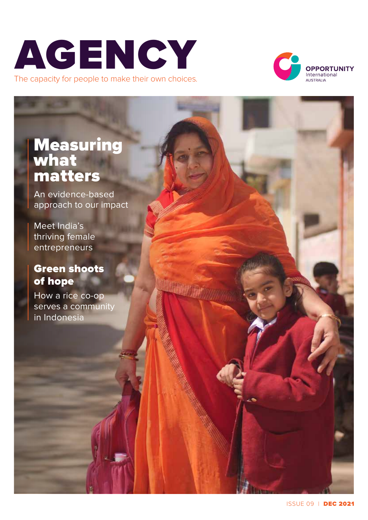



### **Measuring** what matters

An evidence-based approach to our impact

Meet India's thriving female entrepreneurs

### Green shoots of hope

How a rice co-op serves a community in Indonesia

**Mumm**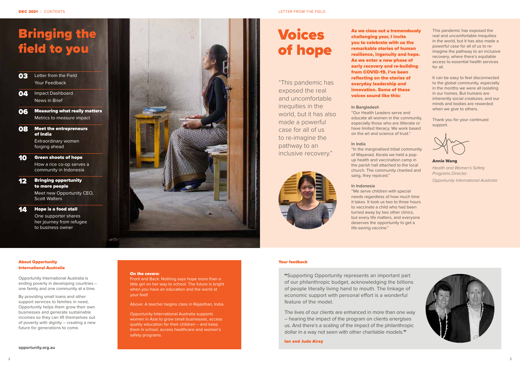## Bringing the field to you

- 03 Letter from the Field Your Feedback
- **04** Impact Dashboard News in Brief
- **06** Measuring what really matters Metrics to measure impact
- **08** Meet the entrepreneurs of India Extraordinary women forging ahead
- 10 Green shoots of hope How a rice co-op serves a community in Indonesia
- **12** Bringing opportunity to more people

Meet new Opportunity CEO, Scott Walters

**14** Hope is a food stall

One supporter shares her journey from refugee to business owner



#### On the covers:

Front and Back: Nothing says hope more than a little girl on her way to school. The future is bright when you have an education and the world at your feet!

Above: A teacher begins class in Rajasthan, India.

Opportunity International Australia supports women in Asia to grow small businesses, access quality education for their children – and keep them in school, access healthcare and women's safety programs.

**Your feedback**<br> **"Supporting Opportunity represents an important part** of our philanthropic budget, acknowledging the billions of people literally living hand to mouth. The linkage of economic support with personal effort is a wonderful feature of the model.

The lives of our clients are enhanced in more than one way – hearing the impact of the program on clients energises us. And there's a scaling of the impact of the philanthropic dollar in a way not seen with other charitable models."

#### About Opportunity International Australia

Opportunity International Australia is ending poverty in developing countries – one family and one community at a time.

By providing small loans and other support services to families in need, Opportunity helps them grow their own businesses and generate sustainable incomes so they can lift themselves out of poverty with dignity – creating a new future for generations to come.

Ian and Jude Airey

As we close out a tremendously challenging year, I invite you to celebrate with us the remarkable stories of human resilience, ingenuity and hope. As we enter a new phase of early recovery and re-building from COVID-19, I've been reflecting on the stories of everyday leadership and innovation. Some of these voices sound like this:

#### **In Bangladesh**

"Our Health Leaders serve and educate all women in the community, especially those who are illiterate or have limited literacy. We work based on the art and science of trust."

#### **In India**

"In the marginalised tribal community of Wayanad, Kerala we held a popup health and vaccination camp in the parish hall attached to the local church. The community chanted and sang, they rejoiced."

#### **In Indonesia**

"We serve children with special needs regardless of how much time it takes. It took us two to three hours to vaccinate a child who had been turned away by two other clinics, but every life matters, and everyone deserves the opportunity to get a life-saving vaccine."

This pandemic has exposed the real and uncomfortable inequities in the world, but it has also made a powerful case for all of us to reimagine the pathway to an inclusive recovery, where there's equitable access to essential health services for all.

It can be easy to feel disconnected to the global community, especially in the months we were all isolating in our homes. But humans are inherently social creatures, and our minds and bodies are rewarded when we give to others.

Thank you for your continued support.

Annie Wang *Health and Women's Safety Programs Director Opportunity International Australia*



# Voices of hope

"This pandemic has exposed the real and uncomfortable inequities in the world, but it has also made a powerful case for all of us to re-imagine the pathway to an inclusive recovery."

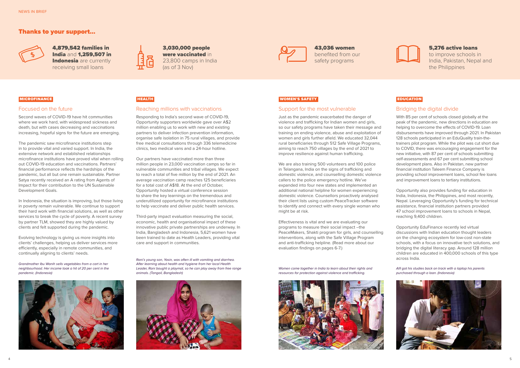### Support for the most vulnerable

Just as the pandemic exacerbated the danger of violence and trafficking for Indian women and girls, so our safety programs have taken their message and training on ending violence, abuse and exploitation of women and girls further afield. We educated 32,044 rural beneficiaries through 512 Safe Village Programs, aiming to reach 750 villages by the end of 2021 to improve resilience against human trafficking.

We are also training 500 volunteers and 100 police in Telangana, India on the signs of trafficking and domestic violence, and counselling domestic violence callers to the police emergency hotline. We've expanded into four new states and implemented an additional national helpline for women experiencing domestic violence. Counsellors proactively analysed their client lists using custom PeaceTracker software to identify and connect with every single woman who might be at risk.

Effectiveness is vital and we are evaluating our programs to measure their social impact –the PeaceMakers, Shakti program for girls, and counselling interventions, along with the Safe Village Program and anti-trafficking helpline. (Read more about our evaluation findings on pages 6-7.)

Women come together in India to learn about their rights and resources for protection against violence and trafficking.



### Bridging the digital divide

With 85 per cent of schools closed globally at the peak of the pandemic, new directions in education are helping to overcome the effects of COVID-19. Loan disbursements have improved through 2021. In Pakistan 128 schools participated in an EduQuality train-thetrainers pilot program. While the pilot was cut short due to COVID, there was encouraging engagement for the new initiative, with 87 per cent of schools submitting self-assessments and 67 per cent submitting school development plans. Also in Pakistan, new partner financial institution Taleem Finance Company is providing school improvement loans, school fee loans and improvement loans to tertiary institutions.

Opportunity also provides funding for education in India, Indonesia, the Philippines, and most recently, Nepal. Leveraging Opportunity's funding for technical assistance, financial institution partners provided 47 school improvement loans to schools in Nepal, reaching 9,400 children.

Opportunity EduFinance recently led virtual discussions with Indian education thought leaders on the changing ecosystem for low-cost non-state schools, with a focus on innovative tech solutions, and bridging the digital literacy gap. Around 128 million children are educated in 400,000 schools of this type across India.

Alfi got his studies back on track with a laptop his parents purchased through a loan. (Indonesia)



### Thanks to your support…



4,879,542 families in India and 1,259,507 in Indonesia are currently receiving small loans



3,030,000 people were vaccinated in 23,800 camps in India (as of 3 Nov)

43,036 women benefited from our safety programs

#### 5,276 active loans

to improve schools in India, Pakistan, Nepal and the Philippines

#### MICROFINANCE HEALTH WOMEN'S SAFETY EDUCATION

### Focused on the future

Second waves of COVID-19 have hit communities where we work hard, with widespread sickness and death, but with cases decreasing and vaccinations increasing, hopeful signs for the future are emerging.

The pandemic saw microfinance institutions step in to provide vital and varied support. In India, the extensive network and established relationships microfinance institutions have proved vital when rolling out COVID-19 education and vaccinations. Partners' financial performance reflects the hardships of the pandemic, but all but one remain sustainable. Partner Satya recently received an A rating from Agents of Impact for their contribution to the UN Sustainable Development Goals.

In Indonesia, the situation is improving, but those living in poverty remain vulnerable. We continue to support their hard work with financial solutions, as well as other services to break the cycle of poverty. A recent survey by partner TLM, showed they are highly valued by clients and felt supported during the pandemic.

Evolving technology is giving us more insights into clients' challenges, helping us deliver services more efficiently, especially in remote communities, and continually aligning to clients' needs.

Grandmother Ibu Wanih sells vegetables from a cart in her neighbourhood. Her income took a hit of 20 per cent in the pandemic. (Indonesia)





### Reaching millions with vaccinations

Responding to India's second wave of COVID-19, Opportunity supporters worldwide gave over A\$2 million enabling us to work with new and existing partners to deliver infection prevention information, organise safe isolation in 75 rural villages, and provide free medical consultations through 336 telemedicine clinics, two medical vans and a 24-hour hotline.

Our partners have vaccinated more than three million people in 23,000 vaccination camps so far in vulnerable communities and tribal villages. We expect to reach a total of five million by the end of 2021. An average vaccination camp reaches 125 beneficiaries for a total cost of A\$18. At the end of October, Opportunity hosted a virtual conference session to share the key learnings on the tremendous and underutilized opportunity for microfinance institutions to help vaccinate and deliver public health services.

Third-party impact evaluation measuring the social, economic, health and organisational impact of these innovative public private partnerships are underway. In India, Bangladesh and Indonesia, 5,621 women have been trained to date as Health Leaders, providing vital care and support in communities.

Rani's young son, Yasin, was often ill with vomiting and diarrhea. After learning about health and hygiene from her local Health Leader, Rani bought a playmat, so he can play away from free range animals. (Tangail, Bangladesh)



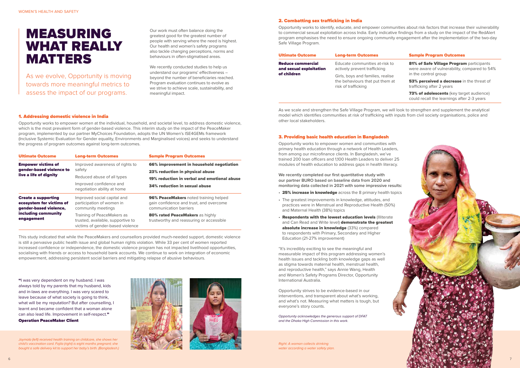

Our work must often balance doing the greatest good for the greatest number of people with serving where the need is highest. Our health and women's safety programs also tackle changing perceptions, norms and behaviours in often-stigmatised areas.

We recently conducted studies to help us understand our programs' effectiveness – beyond the number of beneficiaries reached. Program evaluation continues to evolve as we strive to achieve scale, sustainability, and meaningful impact.

#### 1. Addressing domestic violence in India

Opportunity works to empower women at the individual, household, and societal level, to address domestic violence, which is the most prevalent form of gender-based violence. This interim study on the impact of the PeaceMaker program, implemented by our partner MyChoices Foundation, adopts the UN Women's ISE4GEMs framework (Inclusive Systemic Evaluation for Gender equality, Environments and Marginalised voices) and seeks to understand the progress of program outcomes against long-term outcomes.

| <b>Ultimate Outcome</b>                                                                                               | <b>Long-term Outcomes</b>                                                                           | <b>Sample Program Outcomes</b>                                                                             |
|-----------------------------------------------------------------------------------------------------------------------|-----------------------------------------------------------------------------------------------------|------------------------------------------------------------------------------------------------------------|
| <b>Empower victims of</b><br>gender-based violence to<br>live a life of dignity                                       | Improved awareness of rights to<br>safety                                                           | 66% improvement in household negotiation                                                                   |
|                                                                                                                       |                                                                                                     | 23% reduction in physical abuse                                                                            |
|                                                                                                                       | Reduced abuse of all types                                                                          | 19% reduction in verbal and emotional abuse                                                                |
|                                                                                                                       | Improved confidence and<br>negotiation ability at home                                              | <b>34% reduction in sexual abuse</b>                                                                       |
| <b>Create a supporting</b><br>ecosystem for victims of<br>gender-based violence,<br>including community<br>engagement | Improved social capital and<br>participation of women in<br>community meetings                      | 96% PeaceMakers noted training helped<br>gain confidence and trust, and overcome<br>communication barriers |
|                                                                                                                       | Training of PeaceMakers as<br>trusted, available, supportive to<br>victims of gender-based violence | 80% rated PeaceMakers as highly<br>trustworthy and reassuring or accessible                                |

This study indicated that while the PeaceMakers and counsellors provided much-needed support, domestic violence is still a pervasive public health issue and global human rights violation. While 33 per cent of women reported increased confidence or independence, the domestic violence program has not impacted livelihood opportunities, socialising with friends or access to household bank accounts. We continue to work on integration of economic empowerment, addressing persistent social barriers and mitigating relapse of abusive behaviours.

#### 2. Combatting sex trafficking in India

- 25% increase in knowledge across the 8 primary health topics
- The greatest improvements in knowledge, attitudes, and practices were in Menstrual and Reproductive Health (50%) and Maternal Health (38%) topics
- **· Respondents with the lowest education levels (Illiterate** and Can Read and Write level) **demonstrate the greatest** absolute increase in knowledge (33%) compared to respondents with Primary, Secondary and Higher Education (21-27% improvement)

Opportunity works to identify, educate, and empower communities about risk factors that increase their vulnerability to commercial sexual exploitation across India. Early indicative findings from a study on the impact of the RedAlert program emphasises the need to ensure ongoing community engagement after the implementation of the two-day Safe Village Program.

| <b>Ultimate Outcome</b>                             | <b>Long-term Outcomes</b>                                      | <b>Sample Program Outcomes</b>                                                               |
|-----------------------------------------------------|----------------------------------------------------------------|----------------------------------------------------------------------------------------------|
| <b>Reduce commercial</b><br>and sexual exploitation | Educate communities at-risk to<br>actively prevent trafficking | <b>81% of Safe Village Progran</b><br>were aware of vulnerability, c<br>in the control group |
| of children                                         | Girls, boys and families, realise                              |                                                                                              |
|                                                     | the behaviours that put them at                                | 53% perceived a decrease in                                                                  |
|                                                     | risk of trafficking                                            | trafficking after 2 years                                                                    |
|                                                     |                                                                | _ _ _ _ _                                                                                    |

|                           | <b>Sample Program Outcomes</b>                                                                                   |
|---------------------------|------------------------------------------------------------------------------------------------------------------|
| isk to<br>ealise<br>em at | 81% of Safe Village Program participants<br>were aware of vulnerability, compared to 54%<br>in the control group |
|                           | 53% perceived a decrease in the threat of<br>trafficking after 2 years                                           |
|                           | <b>73% of adolescents</b> (key target audience)<br>could recall the learnings after 2-3 years                    |

As we scale and strengthen the Safe Village Program, we will look to strengthen and supplement the analytical model which identifies communities at risk of trafficking with inputs from civil society organisations, police and other local stakeholders.

## MEASURING WHAT REALLY MATTERS

As we evolve, Opportunity is moving towards more meaningful metrics to assess the impact of our programs.

"I was very dependent on my husband. I was always told by my parents that my husband, kids and in-laws are everything. I was very scared to leave because of what society is going to think, what will be my reputation? But after counselling, I learnt and became confident that a woman alone can also lead life. Improvement in self-respect."

Operation PeaceMaker Client

#### 3. Providing basic health education in Bangladesh

Opportunity works to empower women and communities with primary health education through a network of Health Leaders, from among our microfinance clients. In Bangladesh, we've trained 200 loan officers and 1,100 Health Leaders to deliver 25 modules of health education to address gaps in health literacy.

**We recently completed our first quantitative study with our partner BURO based on baseline data from 2020 and monitoring data collected in 2021 with some impressive results:** 

"It's incredibly exciting to see the meaningful and measurable impact of this program addressing women's health issues and tackling both knowledge gaps as well as stigma towards maternal health, menstrual health, and reproductive health," says Annie Wang, Health and Women's Safety Programs Director, Opportunity International Australia.

Opportunity strives to be evidence-based in our interventions, and transparent about what's working, and what's not. Measuring what matters is tough, but everyone's story counts.

Opportunity acknowledges the generous support of DFAT and the Dhaka High Commission in this work.

Joymala (left) received health training on childcare, she shows her child's vaccination card. Fojila (right) is eight months pregnant; she bought a safe delivery kit to support her baby's birth. (Bangladesh.)





Right: A woman collects drinking water according a water safety plan.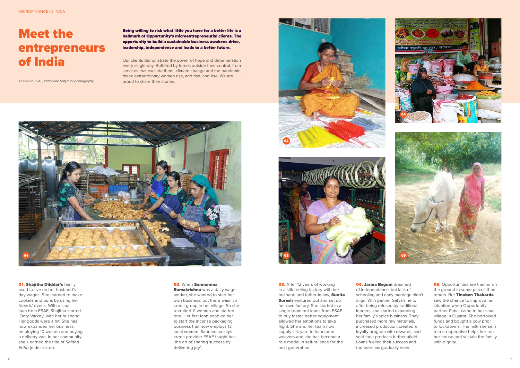Being willing to risk what little you have for a better life is a hallmark of Opportunity's microentrepreneurial clients. The opportunity to build a sustainable business awakens drive, leadership, independence and leads to a better future.

Our clients demonstrate the power of hope and determination every single day. Buffeted by forces outside their control, from services that exclude them, climate change and the pandemic, these extraordinary women rise, and rise, and rise. We are proud to share their stories.

> **03.** After 12 years of working in a silk reeling factory with her husband and father-in-law, Sunita **Suresh** ventured out and set up her own factory. She started in a single room but loans from ESAF to buy faster, better equipment allowed her ambitions to take flight. She and her team now supply silk yarn to handloom weavers and she has become a role model in self-reliance for the next generation.

## Meet the entrepreneurs of India

Thanks to ESAF, Pahal and Satya for photography.



#### **01. Shajitha Dilddar's family**









**04. Jarina Begum** dreamed of independence, but lack of schooling and early marriage didn't align. With partner Satya's help, after being refused by traditional lenders, she started expanding her family's spice business. They purchased more raw materials, increased production, created a loyalty program with rewards, and sold their products further afield. Loans fuelled their success and turnover has gradually risen.

**05.** Opportunities are thinner on the ground in some places than others. But Tinaben Thakarda saw the chance to improve her situation when Opportunity partner Pahal came to her small village in Gujarat. She borrowed funds and bought a cow prior to lockdowns. The milk she sells to a co-operative helps her run her house and sustain the family with dignity.

used to live on her husband's day wages. She learned to make cookies and buns by using her friends' ovens. With a small loan from ESAF, Shajitha started 'Ooty Varkey' with her husband. Her goods were a hit! She has now expanded her business, employing 10 women and buying a delivery van. In her community, she's earned the title of Sajitha Ettha (elder sister).

#### 02. When Sannamma

Ramakrishna was a daily wage worker, she wanted to start her own business, but there wasn't a credit group in her village. So she recruited 11 women and started one. Her first loan enabled her to start the incense packaging business that now employs 13 local women. Sannamma says credit provider ESAF taught her, 'the art of sharing success by delivering joy'.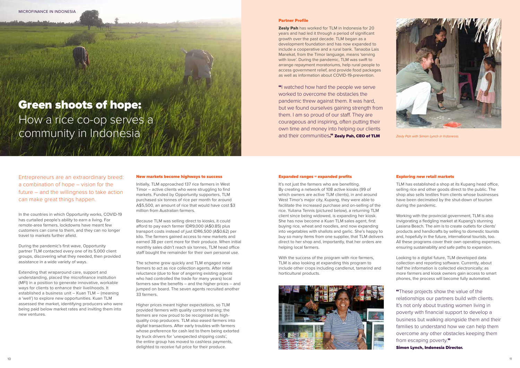#### Expanded ranges = expanded profits

It's not just the farmers who are benefiting. By creating a network of 108 active kiosks (99 of which owners are active TLM clients), in and around West Timor's major city, Kupang, they were able to facilitate the increased purchase and on-selling of the rice. Yuliana Tennis (pictured below), a returning TLM client since being widowed, is expanding her kiosk. She has now become a Kuan TLM sales agent, first buying rice, wheat and noodles, and now expanding into vegetables with shallots and garlic. She's happy to buy so many items from one supplier, that TLM delivers direct to her shop and, importantly, that her orders are helping local farmers.

With the success of the program with rice farmers, TLM is also looking at expanding this program to include other crops including candlenut, tamarind and horticultural products.





#### Exploring new retail markets

"These projects show the value of the relationships our partners build with clients. It's not only about trusting women living in poverty with financial support to develop a business but walking alongside them and their families to understand how we can help them overcome any other obstacles keeping them from escaping poverty."

TLM has established a shop at its Kupang head office, selling rice and other goods direct to the public. The shop also sells textiles from clients whose businesses have been decimated by the shut-down of tourism during the pandemic.

Working with the provincial government, TLM is also invigorating a fledgling market at Kupang's stunning Lasiana Beach. The aim is to create outlets for clients' products and handicrafts by selling to domestic tourists and, hopefully in the future, international tourists, too. All these programs cover their own operating expenses, ensuring sustainability and safe paths to expansion.

Looking to a digital future, TLM developed data collection and reporting software. Currently, about half the information is collected electronically; as more farmers and kiosk owners gain access to smart phones, the process will become fully automated.

Simon Lynch, Indonesia Director.

Entrepreneurs are an extraordinary breed: a combination of hope – vision for the future – and the willingness to take action can make great things happen.

In the countries in which Opportunity works, COVID-19 has curtailed people's ability to earn a living. For remote-area farmers, lockdowns have meant few customers can come to them, and they can no longer travel to markets further afield.

**Zesly Pah** has worked for TLM in Indonesia for 20 years and had led it through a period of significant growth over the past decade. TLM began as a development foundation and has now expanded to include a cooperative and a rural bank. Tanaoba Lais Manekat, from the Timor language, means 'serving with love'. During the pandemic, TLM was swift to arrange repayment moratoriums, help rural people to access government relief, and provide food packages as well as information about COVID-19-prevention.

"I watched how hard the people we serve worked to overcome the obstacles the pandemic threw against them. It was hard, but we found ourselves gaining strength from them. I am so proud of our staff. They are courageous and inspiring, often putting their own time and money into helping our clients and their communities." Zesly Pah, CEO of TLM Zesly Pah with Simon Lynch in Indonesia.

During the pandemic's first wave, Opportunity partner TLM contacted every one of its 5,000 client groups, discovering what they needed, then provided assistance in a wide variety of ways.

Extending that wraparound care, support and understanding, placed the microfinance institution (MFI) in a position to generate innovative, workable ways for clients to enhance their livelihoods. It established a business unit – Kuan TLM – (meaning a 'well') to explore new opportunities. Kuan TLM assessed the market, identifying producers who were being paid below market rates and inviting them into new ventures.

### Green shoots of hope: How a rice co-op serves a community in Indonesia

#### New markets become highways to success

Initially, TLM approached 137 rice farmers in West Timor – active clients who were struggling to find markets. Funded by Opportunity supporters, TLM purchased six tonnes of rice per month for around A\$5,500, an amount of rice that would have cost \$3 million from Australian farmers.

Because TLM was selling direct to kiosks, it could afford to pay each farmer IDR9,000 (A\$0.85) plus transport costs instead of just IDR6,500 (A\$0.62) per kilo. The farmers gained access to new markets and earned 38 per cent more for their produce. When initial monthly sales didn't reach six tonnes, TLM head office staff bought the remainder for their own personal use.

The scheme grew quickly and TLM engaged new farmers to act as rice collection agents. After initial reluctance (due to fear of angering existing agents who had controlled the trade for many years) local farmers saw the benefits – and the higher prices – and jumped on board. The seven agents recruited another 33 farmers.

Higher prices meant higher expectations, so TLM provided farmers with quality control training; the farmers are now proud to be recognised as highquality crop producers. TLM also eased farmers into digital transactions. After early troubles with farmers whose preference for cash led to them being extorted by truck drivers for 'unexpected shipping costs', the entire group has moved to cashless payments, delighted to receive full price for their produce.

#### Partner Profile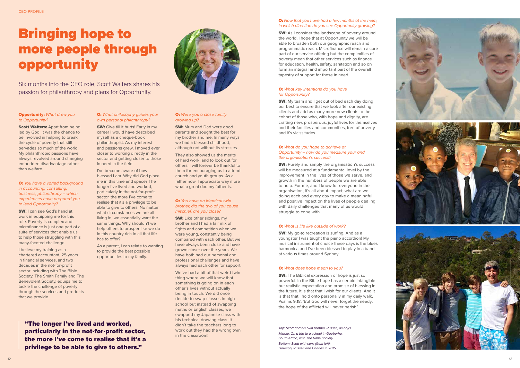#### **O:** Now that you have had a few months at the helm, in which direction do you see Opportunity growing?

**SW:** As I consider the landscape of poverty around the world, I hope that at Opportunity we will be able to broaden both our geographic reach and programmatic reach. Microfinance will remain a core part of our service offering but the complexities of poverty mean that other services such as finance for education, health, safety, sanitation and so on form an integral and important part of the overall tapestry of support for those in need.

#### **O:** What key intentions do you have for Opportunity?

**SW:** My team and I get out of bed each day doing our best to ensure that we look after our existing clients and add as many more new clients to the cohort of those who, with hope and dignity, are crafting new, prosperous, joyful lives for themselves and their families and communities, free of poverty and it's vicissitudes.

#### **O:** What do you hope to achieve at Opportunity – how do you measure your and the organisation's success?

**SW:** Purely and simply the organisation's success will be measured at a fundamental level by the improvement in the lives of those we serve, and growth in the numbers of people we are able to help. For me, and I know for everyone in the organisation, it's all about impact; what are we doing each and every day to make a meaningful and positive impact on the lives of people dealing with daily challenges that many of us would struggle to cope with.

#### O: What is life like outside of work?

**SW:** My go-to recreation is surfing. And as a youngster I was taught the piano accordion! My musical instrument of choice these days is the blues harmonica and I've been blessed to play in a band at various times around Sydney.

#### **O:** What does hope mean to you?

**SW:** The Biblical expression of hope is just so powerful. In the Bible hope has a certain intangible but realistic expectation and promise of blessing in the future. It is that that I wish for our clients. And it is that that I hold onto personally in my daily walk. Psalms 9:18: 'But God will never forget the needy; the hope of the afflicted will never perish.'

#### **Opportunity:** What drew you to Opportunity?

**Scott Walters: Apart from being** led by God, it was the chance to be involved in helping to break the cycle of poverty that still pervades so much of the world. My philanthropic passions have always revolved around changing embedded disadvantage rather than welfare.

O: You have a varied background in accounting, consulting, business, philanthropy – which experiences have prepared you to lead Opportunity?

**SW:** I can see God's hand at work in equipping me for this role. Poverty is complex and microfinance is just one part of a suite of services that enable us to help those struggling with this many-faceted challenge.

**O:** What philosophy guides your own personal philanthropy?

**SW:** Give till it hurts! Early in my career I would have described myself as a cheque-book philanthropist. As my interest and passions grew, I moved ever closer to working directly in the sector and getting closer to those in need in the field.

#### O: Were you a close family growing up?

**SW:** Mum and Dad were good parents and sought the best for my brother and me. In many ways we had a blessed childhood, although not without its stresses.

They also showed us the merits of hard work, and to look out for others. I will forever be thankful to them for encouraging us to attend church and youth groups. As a father now, I appreciate way more what a great dad my father is.

**SW:** Like other siblings, my brother and I had a fair mix of fights and competition when we were young, constantly being compared with each other. But we have always been close and have grown closer over the years. We have both had our personal and professional challenges and have always had each other for support.

I believe my training as a chartered accountant, 25 years in financial services, and two decades in the not-for-profit sector including with The Bible Society, The Smith Family and The Benevolent Society, equips me to tackle the challenge of poverty through the services and products that we provide.

I've become aware of how blessed I am. Why did God place me in this time and space? The longer I've lived and worked, particularly in the not-for-profit sector, the more I've come to realise that it's a privilege to be able to give to others. No matter what circumstances we are all living in, we essentially want the same things. Why shouldn't we help others to prosper like we do in this country rich in all that life has to offer?

As a parent, I can relate to wanting to provide the best possible opportunities to my family.

#### O: You have an identical twin brother, did the two of you cause mischief, are you close?

We've had a bit of that weird twin thing where we will know that something is going on in each other's lives without actually being in touch. We did once decide to swap classes in high school but instead of swapping maths or English classes, we swapped my Japanese class with his technical drawing class. It didn't take the teachers long to work out they had the wrong twin in the classroom!

## Bringing hope to more people through opportunity

Six months into the CEO role, Scott Walters shares his passion for philanthropy and plans for Opportunity.

"The longer I've lived and worked, particularly in the not-for-profit sector, the more I've come to realise that it's a privilege to be able to give to others."

Top: Scott and his twin brother, Russell, as boys. Middle: On a trip to a school in Gaeberha, South Africa, with The Bible Society. Bottom: Scott with sons (from left): Harrison, Russell and Charles in 2015.



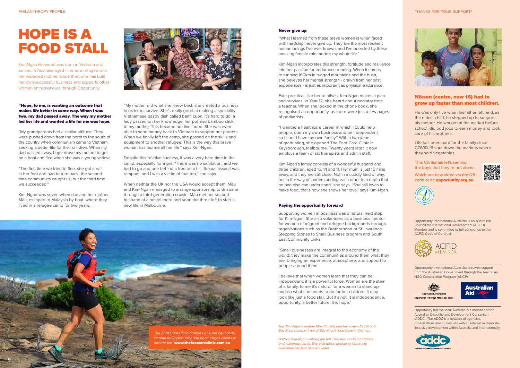#### PHILANTHROPY PROFILE THANKS FOR YOUR SUPPORT!



Opportunity International Australia is an Australian Council for International Development (ACFID) Member and is committed to full adherence to the ACFID Code of Conduct.



Opportunity International Australia receives support from the Australian Government through the Australian NGO Cooperation Program (ANCP).





Opportunity International Australia is a member of the Australian Disability and Development Consortium (ADDC). The ADDC is a network of agencies, organisations and individuals with an interest in disabilityinclusive development within Australia and internationally.



Watch our new video via the QR code or at: opportunity.org.au



#### Nikson (centre, now 16) had to grow up faster than most children.

He was only five when his father left, and, as the eldest child, he stepped up to support his mother. He worked at the market before school, did odd jobs to earn money and took care of his brothers.

Life has been hard for the family since COVID-19 shut down the markets where they sold vegetables.

This Chritsmas let's remind the boys that they're not alone.



"Hope, to me, is wanting an outcome that makes life better in some way. When I was two, my dad passed away. The way my mother led her life and wanted a life for me was hope.

"My grandparents had a similar attitude. They were pushed down from the north to the south of the country when communism came to Vietnam, seeking a better life for their children. When my dad passed away, hope drove my mother to get on a boat and flee when she was a young widow.

"The first time we tried to flee, she got a nail in her foot and had to turn back, the second time communists caught us, but the third time we succeeded."

Kim-Ngan was seven when she and her mother, Màu, escaped to Malaysia by boat, where they lived in a refugee camp for two years.

![](_page_7_Picture_7.jpeg)

## HOPE IS A FOOD STALL

Kim-Ngan Harwood was born in Vietnam and arrived in Australia aged nine as a refugee with her widowed mother. Since then, she has built her own successful business and supports other women entrepreneurs through Opportunity.

#### Never give up

"What I learned from these brave women is when faced with hardship, never give up. They are the most resilient human beings I've ever known, and I've been led by these amazing female role models my whole life."

Kim-Ngan incorporates this strength, fortitude and resilience into her passion for endurance running. When it comes to running 160km in rugged mountains and the bush, she believes her mental strength - drawn from her past experiences - is just as important as physical endurance.

Ever practical, like her relatives, Kim-Ngan makes a plan and survives. In Year 12, she heard about podiatry from a teacher. When she looked in the phone book, she recognised an opportunity, as there were just a few pages of podiatrists.

"I wanted a healthcare career in which I could help people, open my own business and be independent so I could have my own family." Within two years of graduating, she opened The Foot Care Clinic in Keysborough, Melbourne. Twenty years later, it now employs a team of six therapists and admin staff.

Kim-Ngan's family consists of a wonderful husband and three children, aged 16, 14 and 11. Her mum is just 15 mins away, and they are still close. Not in a cuddly kind of way, but in the way of 'understanding each other to a depth that no one else can understand', she says. "She still loves to make food, that's how she shows her love," says Kim-Ngan.

#### Paying the opportunity forward

Supporting women in business was a natural next step for Kim-Ngan. She also volunteers as a business mentor for women of migrant and refugee backgrounds through organisations such as the Brotherhood of St Lawrence Stepping Stones to Small Business program and South East Community Links.

"Small businesses are integral to the economy of the world; they make the communities around them what they are, bringing an experience, atmosphere, and support to people around them.

I believe that when women learn that they can be independent, it is a powerful force. Women are the stem of a family, to me it's natural for a woman to stand up and do what she needs to do for her children. It may look like just a food stall. But it's not, it is independence, opportunity, a better future. It is hope."

"My mother did what she knew best, she created a business in order to survive. She's really good at making a speciality Vietnamese pastry dish called banh cuon. It's hard to do; a lady passed on her knowledge, her pot and bamboo stick to my mother. This became our livelihood. She was even able to send money back to Vietnam to support her parents. When we finally left the camp, she passed on the skills and equipment to another refugee. This is the way this brave woman has led me all her life," says Kim-Ngan.

Despite this relative success, it was a very hard time in the camp, especially for a girl. "There was no sanitation, and we had to go and pee behind a tree on a hill. Sexual assault was rampant, and I was a victim of that too," she says.

When neither the UK nor the USA would accept them, Màu and Kim-Ngan managed to arrange sponsorship to Brisbane through a third-generation cousin. Màu met her second husband at a hostel there and soon the three left to start a new life in Melbourne.

> Top: Kim-Ngan's mother Màu (far left) and her sisters Dì Tốt and Bác Khúc sitting in front of Bác Khúc's food store in Vietnam.

Bottom: Kim-Ngan walking the talk: She has run 16 marathons and numerous ultras. She also takes swimming lessons to overcome her fear of open water.